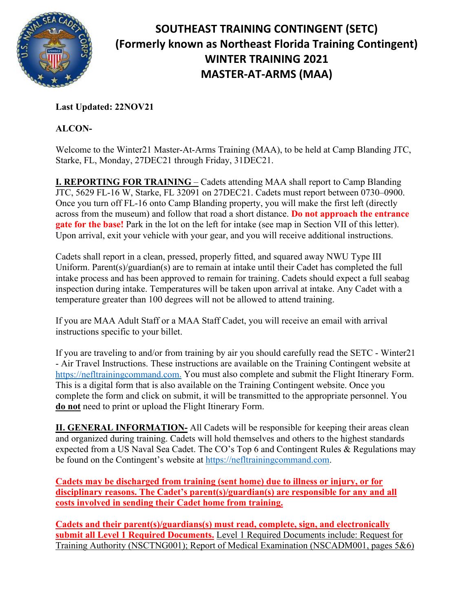

## **SOUTHEAST TRAINING CONTINGENT (SETC) (Formerly known as Northeast Florida Training Contingent) WINTER TRAINING 2021 MASTER-AT-ARMS (MAA)**

**Last Updated: 22NOV21**

**ALCON-**

Welcome to the Winter21 Master-At-Arms Training (MAA), to be held at Camp Blanding JTC, Starke, FL, Monday, 27DEC21 through Friday, 31DEC21.

**I. REPORTING FOR TRAINING** – Cadets attending MAA shall report to Camp Blanding JTC, 5629 FL-16 W, Starke, FL 32091 on 27DEC21. Cadets must report between 0730–0900. Once you turn off FL-16 onto Camp Blanding property, you will make the first left (directly across from the museum) and follow that road a short distance. **Do not approach the entrance gate for the base!** Park in the lot on the left for intake (see map in Section VII of this letter). Upon arrival, exit your vehicle with your gear, and you will receive additional instructions.

Cadets shall report in a clean, pressed, properly fitted, and squared away NWU Type III Uniform. Parent(s)/guardian(s) are to remain at intake until their Cadet has completed the full intake process and has been approved to remain for training. Cadets should expect a full seabag inspection during intake. Temperatures will be taken upon arrival at intake. Any Cadet with a temperature greater than 100 degrees will not be allowed to attend training.

If you are MAA Adult Staff or a MAA Staff Cadet, you will receive an email with arrival instructions specific to your billet.

If you are traveling to and/or from training by air you should carefully read the SETC - Winter21 - Air Travel Instructions. These instructions are available on the Training Contingent website at [https://nefltrainingcommand.com.](https://nefltrainingcommand.com/) You must also complete and submit the Flight Itinerary Form. This is a digital form that is also available on the Training Contingent website. Once you complete the form and click on submit, it will be transmitted to the appropriate personnel. You **do not** need to print or upload the Flight Itinerary Form.

**II. GENERAL INFORMATION-** All Cadets will be responsible for keeping their areas clean and organized during training. Cadets will hold themselves and others to the highest standards expected from a US Naval Sea Cadet. The CO's Top 6 and Contingent Rules & Regulations may be found on the Contingent's website at [https://nefltrainingcommand.com.](https://nefltrainingcommand.com/)

**Cadets may be discharged from training (sent home) due to illness or injury, or for disciplinary reasons. The Cadet's parent(s)/guardian(s) are responsible for any and all costs involved in sending their Cadet home from training.**

**Cadets and their parent(s)/guardians(s) must read, complete, sign, and electronically submit all Level 1 Required Documents.** Level 1 Required Documents include: Request for Training Authority (NSCTNG001); Report of Medical Examination (NSCADM001, pages 5&6)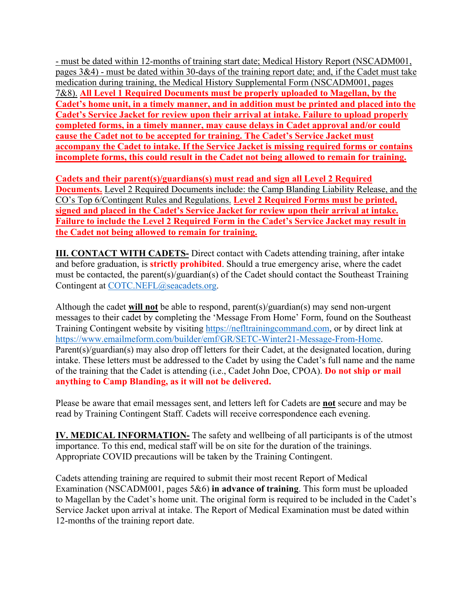- must be dated within 12-months of training start date; Medical History Report (NSCADM001, pages 3&4) - must be dated within 30-days of the training report date; and, if the Cadet must take medication during training, the Medical History Supplemental Form (NSCADM001, pages 7&8). **All Level 1 Required Documents must be properly uploaded to Magellan, by the Cadet's home unit, in a timely manner, and in addition must be printed and placed into the Cadet's Service Jacket for review upon their arrival at intake. Failure to upload properly completed forms, in a timely manner, may cause delays in Cadet approval and/or could cause the Cadet not to be accepted for training. The Cadet's Service Jacket must accompany the Cadet to intake. If the Service Jacket is missing required forms or contains incomplete forms, this could result in the Cadet not being allowed to remain for training.**

**Cadets and their parent(s)/guardians(s) must read and sign all Level 2 Required Documents.** Level 2 Required Documents include: the Camp Blanding Liability Release, and the CO's Top 6/Contingent Rules and Regulations. **Level 2 Required Forms must be printed, signed and placed in the Cadet's Service Jacket for review upon their arrival at intake. Failure to include the Level 2 Required Form in the Cadet's Service Jacket may result in the Cadet not being allowed to remain for training.**

**III. CONTACT WITH CADETS-** Direct contact with Cadets attending training, after intake and before graduation, is **strictly prohibited**. Should a true emergency arise, where the cadet must be contacted, the parent(s)/guardian(s) of the Cadet should contact the Southeast Training Contingent at [COTC.NEFL@seacadets.org.](mailto:COTC.NEFL@seacadets.org)

Although the cadet **will not** be able to respond, parent(s)/guardian(s) may send non-urgent messages to their cadet by completing the 'Message From Home' Form, found on the Southeast Training Contingent website by visiting [https://nefltrainingcommand.com,](https://nefltrainingcommand.com/) or by direct link at [https://www.emailmeform.com/builder/emf/GR/SETC-Winter21-Message-From-Home.](https://www.emailmeform.com/builder/emf/GR/SETC-Winter21-Message-From-Home) Parent(s)/guardian(s) may also drop off letters for their Cadet, at the designated location, during intake. These letters must be addressed to the Cadet by using the Cadet's full name and the name of the training that the Cadet is attending (i.e., Cadet John Doe, CPOA). **Do not ship or mail anything to Camp Blanding, as it will not be delivered.**

Please be aware that email messages sent, and letters left for Cadets are **not** secure and may be read by Training Contingent Staff. Cadets will receive correspondence each evening.

**IV. MEDICAL INFORMATION-** The safety and wellbeing of all participants is of the utmost importance. To this end, medical staff will be on site for the duration of the trainings. Appropriate COVID precautions will be taken by the Training Contingent.

Cadets attending training are required to submit their most recent Report of Medical Examination (NSCADM001, pages 5&6) **in advance of training**. This form must be uploaded to Magellan by the Cadet's home unit. The original form is required to be included in the Cadet's Service Jacket upon arrival at intake. The Report of Medical Examination must be dated within 12-months of the training report date.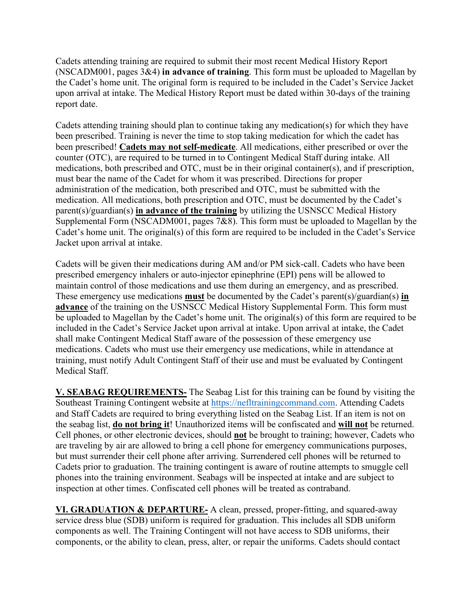Cadets attending training are required to submit their most recent Medical History Report (NSCADM001, pages 3&4) **in advance of training**. This form must be uploaded to Magellan by the Cadet's home unit. The original form is required to be included in the Cadet's Service Jacket upon arrival at intake. The Medical History Report must be dated within 30-days of the training report date.

Cadets attending training should plan to continue taking any medication(s) for which they have been prescribed. Training is never the time to stop taking medication for which the cadet has been prescribed! **Cadets may not self-medicate**. All medications, either prescribed or over the counter (OTC), are required to be turned in to Contingent Medical Staff during intake. All medications, both prescribed and OTC, must be in their original container(s), and if prescription, must bear the name of the Cadet for whom it was prescribed. Directions for proper administration of the medication, both prescribed and OTC, must be submitted with the medication. All medications, both prescription and OTC, must be documented by the Cadet's parent(s)/guardian(s) **in advance of the training** by utilizing the USNSCC Medical History Supplemental Form (NSCADM001, pages 7&8). This form must be uploaded to Magellan by the Cadet's home unit. The original(s) of this form are required to be included in the Cadet's Service Jacket upon arrival at intake.

Cadets will be given their medications during AM and/or PM sick-call. Cadets who have been prescribed emergency inhalers or auto-injector epinephrine (EPI) pens will be allowed to maintain control of those medications and use them during an emergency, and as prescribed. These emergency use medications **must** be documented by the Cadet's parent(s)/guardian(s) **in advance** of the training on the USNSCC Medical History Supplemental Form. This form must be uploaded to Magellan by the Cadet's home unit. The original(s) of this form are required to be included in the Cadet's Service Jacket upon arrival at intake. Upon arrival at intake, the Cadet shall make Contingent Medical Staff aware of the possession of these emergency use medications. Cadets who must use their emergency use medications, while in attendance at training, must notify Adult Contingent Staff of their use and must be evaluated by Contingent Medical Staff.

**V. SEABAG REQUIREMENTS-** The Seabag List for this training can be found by visiting the Southeast Training Contingent website at [https://nefltrainingcommand.com.](https://nefltrainingcommand.com/) Attending Cadets and Staff Cadets are required to bring everything listed on the Seabag List. If an item is not on the seabag list, **do not bring it**! Unauthorized items will be confiscated and **will not** be returned. Cell phones, or other electronic devices, should **not** be brought to training; however, Cadets who are traveling by air are allowed to bring a cell phone for emergency communications purposes, but must surrender their cell phone after arriving. Surrendered cell phones will be returned to Cadets prior to graduation. The training contingent is aware of routine attempts to smuggle cell phones into the training environment. Seabags will be inspected at intake and are subject to inspection at other times. Confiscated cell phones will be treated as contraband.

**VI. GRADUATION & DEPARTURE-** A clean, pressed, proper-fitting, and squared-away service dress blue (SDB) uniform is required for graduation. This includes all SDB uniform components as well. The Training Contingent will not have access to SDB uniforms, their components, or the ability to clean, press, alter, or repair the uniforms. Cadets should contact